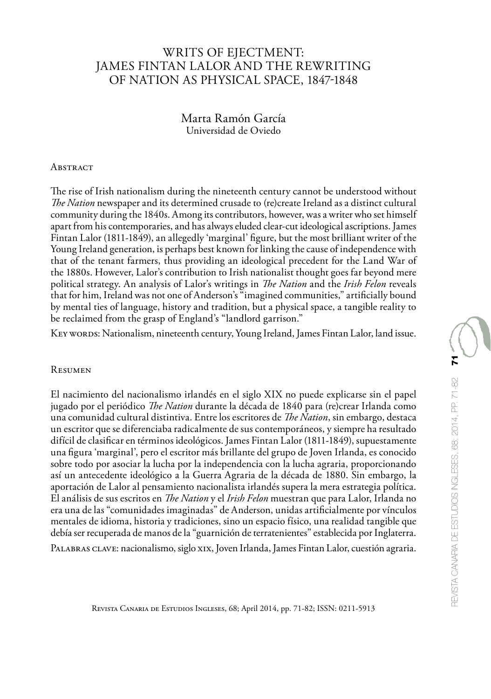## WRITS OF EJECTMENT: JAMES FINTAN LALOR AND THE REWRITING OF NATION AS PHYSICAL SPACE, 1847-1848

Marta Ramón García Universidad de Oviedo

## **ABSTRACT**

The rise of Irish nationalism during the nineteenth century cannot be understood without *The Nation* newspaper and its determined crusade to (re)create Ireland as a distinct cultural community during the 1840s. Among its contributors, however, was a writer who set himself apart from his contemporaries, and has always eluded clear-cut ideological ascriptions. James Fintan Lalor (1811-1849), an allegedly 'marginal' figure, but the most brilliant writer of the Young Ireland generation, is perhaps best known for linking the cause of independence with that of the tenant farmers, thus providing an ideological precedent for the Land War of the 1880s. However, Lalor's contribution to Irish nationalist thought goes far beyond mere political strategy. An analysis of Lalor's writings in *The Nation* and the *Irish Felon* reveals that for him, Ireland was not one of Anderson's "imagined communities," artificially bound by mental ties of language, history and tradition, but a physical space, a tangible reality to be reclaimed from the grasp of England's "landlord garrison."

Key words: Nationalism, nineteenth century, Young Ireland, James Fintan Lalor, land issue.

## Resumen

El nacimiento del nacionalismo irlandés en el siglo XIX no puede explicarse sin el papel jugado por el periódico *The Nation* durante la década de 1840 para (re)crear Irlanda como una comunidad cultural distintiva. Entre los escritores de *The Nation*, sin embargo, destaca un escritor que se diferenciaba radicalmente de sus contemporáneos, y siempre ha resultado difícil de clasificar en términos ideológicos. James Fintan Lalor (1811-1849), supuestamente una figura 'marginal', pero el escritor más brillante del grupo de Joven Irlanda, es conocido sobre todo por asociar la lucha por la independencia con la lucha agraria, proporcionando así un antecedente ideológico a la Guerra Agraria de la década de 1880. Sin embargo, la aportación de Lalor al pensamiento nacionalista irlandés supera la mera estrategia política. El análisis de sus escritos en *The Nation* y el *Irish Felon* muestran que para Lalor, Irlanda no era una de las "comunidades imaginadas" de Anderson, unidas artificialmente por vínculos mentales de idioma, historia y tradiciones, sino un espacio físico, una realidad tangible que debía ser recuperada de manos de la "guarnición de terratenientes" establecida por Inglaterra. PALABRAS CLAVE: nacionalismo, siglo XIX, Joven Irlanda, James Fintan Lalor, cuestión agraria.

Revista Canaria de Estudios Ingleses, 68; April 2014, pp. 71-82; ISSN: 0211-5913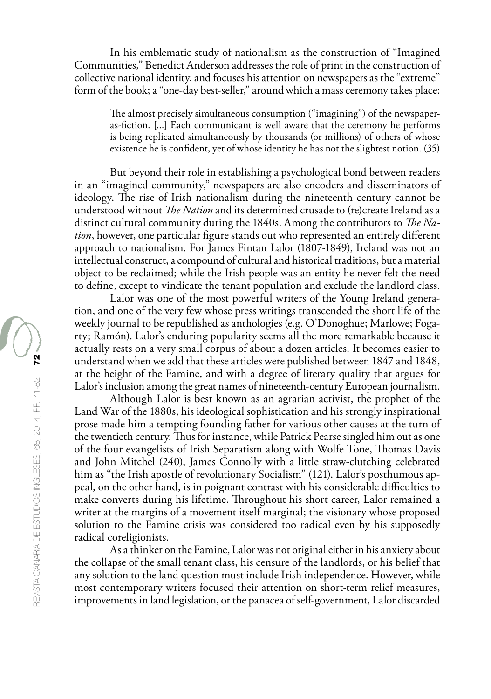In his emblematic study of nationalism as the construction of "Imagined Communities," Benedict Anderson addresses the role of print in the construction of collective national identity, and focuses his attention on newspapers as the "extreme" form of the book; a "one-day best-seller," around which a mass ceremony takes place:

The almost precisely simultaneous consumption ("imagining") of the newspaperas-fiction. [...] Each communicant is well aware that the ceremony he performs is being replicated simultaneously by thousands (or millions) of others of whose existence he is confident, yet of whose identity he has not the slightest notion. (35)

But beyond their role in establishing a psychological bond between readers in an "imagined community," newspapers are also encoders and disseminators of ideology. The rise of Irish nationalism during the nineteenth century cannot be understood without *The Nation* and its determined crusade to (re)create Ireland as a distinct cultural community during the 1840s. Among the contributors to *The Nation*, however, one particular figure stands out who represented an entirely different approach to nationalism. For James Fintan Lalor (1807-1849), Ireland was not an intellectual construct, a compound of cultural and historical traditions, but a material object to be reclaimed; while the Irish people was an entity he never felt the need to define, except to vindicate the tenant population and exclude the landlord class.

Lalor was one of the most powerful writers of the Young Ireland generation, and one of the very few whose press writings transcended the short life of the weekly journal to be republished as anthologies (e.g. O'Donoghue; Marlowe; Fogarty; Ramón). Lalor's enduring popularity seems all the more remarkable because it actually rests on a very small corpus of about a dozen articles. It becomes easier to understand when we add that these articles were published between 1847 and 1848, at the height of the Famine, and with a degree of literary quality that argues for Lalor's inclusion among the great names of nineteenth-century European journalism.

Although Lalor is best known as an agrarian activist, the prophet of the Land War of the 1880s, his ideological sophistication and his strongly inspirational prose made him a tempting founding father for various other causes at the turn of the twentieth century. Thus for instance, while Patrick Pearse singled him out as one of the four evangelists of Irish Separatism along with Wolfe Tone, Thomas Davis and John Mitchel (240), James Connolly with a little straw-clutching celebrated him as "the Irish apostle of revolutionary Socialism" (121). Lalor's posthumous appeal, on the other hand, is in poignant contrast with his considerable difficulties to make converts during his lifetime. Throughout his short career, Lalor remained a writer at the margins of a movement itself marginal; the visionary whose proposed solution to the Famine crisis was considered too radical even by his supposedly radical coreligionists.

As a thinker on the Famine, Lalor was not original either in his anxiety about the collapse of the small tenant class, his censure of the landlords, or his belief that any solution to the land question must include Irish independence. However, while most contemporary writers focused their attention on short-term relief measures, improvements in land legislation, or the panacea of self-government, Lalor discarded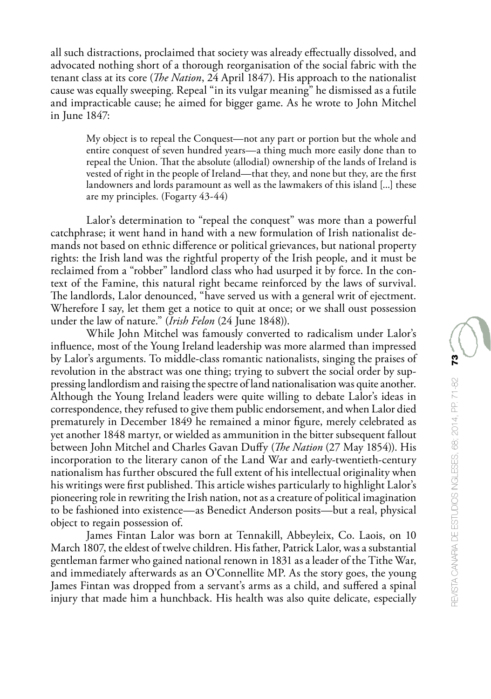all such distractions, proclaimed that society was already effectually dissolved, and advocated nothing short of a thorough reorganisation of the social fabric with the tenant class at its core (*The Nation*, 24 April 1847). His approach to the nationalist cause was equally sweeping. Repeal "in its vulgar meaning" he dismissed as a futile and impracticable cause; he aimed for bigger game. As he wrote to John Mitchel in June 1847:

My object is to repeal the Conquest—not any part or portion but the whole and entire conquest of seven hundred years—a thing much more easily done than to repeal the Union. That the absolute (allodial) ownership of the lands of Ireland is vested of right in the people of Ireland—that they, and none but they, are the first landowners and lords paramount as well as the lawmakers of this island [...] these are my principles. (Fogarty 43-44)

Lalor's determination to "repeal the conquest" was more than a powerful catchphrase; it went hand in hand with a new formulation of Irish nationalist demands not based on ethnic difference or political grievances, but national property rights: the Irish land was the rightful property of the Irish people, and it must be reclaimed from a "robber" landlord class who had usurped it by force. In the context of the Famine, this natural right became reinforced by the laws of survival. The landlords, Lalor denounced, "have served us with a general writ of ejectment. Wherefore I say, let them get a notice to quit at once; or we shall oust possession under the law of nature." (*Irish Felon* (24 June 1848)).

While John Mitchel was famously converted to radicalism under Lalor's influence, most of the Young Ireland leadership was more alarmed than impressed by Lalor's arguments. To middle-class romantic nationalists, singing the praises of revolution in the abstract was one thing; trying to subvert the social order by suppressing landlordism and raising the spectre of land nationalisation was quite another. Although the Young Ireland leaders were quite willing to debate Lalor's ideas in correspondence, they refused to give them public endorsement, and when Lalor died prematurely in December 1849 he remained a minor figure, merely celebrated as yet another 1848 martyr, or wielded as ammunition in the bitter subsequent fallout between John Mitchel and Charles Gavan Duffy (*The Nation* (27 May 1854)). His incorporation to the literary canon of the Land War and early-twentieth-century nationalism has further obscured the full extent of his intellectual originality when his writings were first published. This article wishes particularly to highlight Lalor's pioneering role in rewriting the Irish nation, not as a creature of political imagination to be fashioned into existence—as Benedict Anderson posits—but a real, physical object to regain possession of.

James Fintan Lalor was born at Tennakill, Abbeyleix, Co. Laois, on 10 March 1807, the eldest of twelve children. His father, Patrick Lalor, was a substantial gentleman farmer who gained national renown in 1831 as a leader of the Tithe War, and immediately afterwards as an O'Connellite MP. As the story goes, the young James Fintan was dropped from a servant's arms as a child, and suffered a spinal injury that made him a hunchback. His health was also quite delicate, especially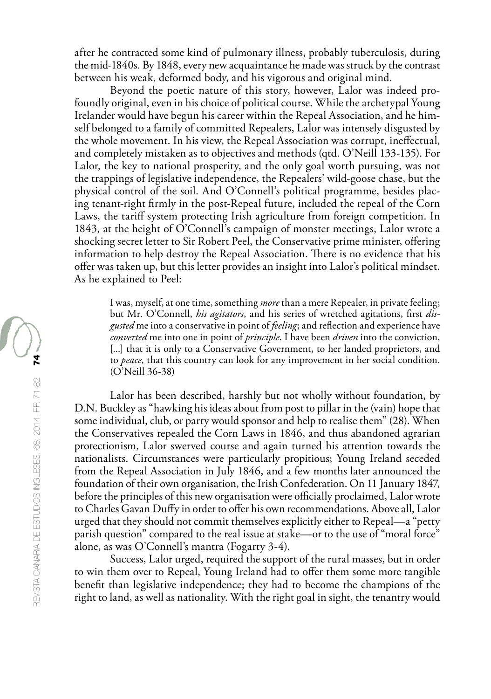after he contracted some kind of pulmonary illness, probably tuberculosis, during the mid-1840s. By 1848, every new acquaintance he made was struck by the contrast between his weak, deformed body, and his vigorous and original mind.

Beyond the poetic nature of this story, however, Lalor was indeed profoundly original, even in his choice of political course. While the archetypal Young Irelander would have begun his career within the Repeal Association, and he himself belonged to a family of committed Repealers, Lalor was intensely disgusted by the whole movement. In his view, the Repeal Association was corrupt, ineffectual, and completely mistaken as to objectives and methods (qtd. O'Neill 133-135). For Lalor, the key to national prosperity, and the only goal worth pursuing, was not the trappings of legislative independence, the Repealers' wild-goose chase, but the physical control of the soil. And O'Connell's political programme, besides placing tenant-right firmly in the post-Repeal future, included the repeal of the Corn Laws, the tariff system protecting Irish agriculture from foreign competition. In 1843, at the height of O'Connell's campaign of monster meetings, Lalor wrote a shocking secret letter to Sir Robert Peel, the Conservative prime minister, offering information to help destroy the Repeal Association. There is no evidence that his offer was taken up, but this letter provides an insight into Lalor's political mindset. As he explained to Peel:

I was, myself, at one time, something *more* than a mere Repealer, in private feeling; but Mr. O'Connell, *his agitators*, and his series of wretched agitations, first *disgusted* me into a conservative in point of *feeling*; and reflection and experience have *converted* me into one in point of *principle*. I have been *driven* into the conviction, [...] that it is only to a Conservative Government, to her landed proprietors, and to *peace*, that this country can look for any improvement in her social condition. (O'Neill 36-38)

Lalor has been described, harshly but not wholly without foundation, by D.N. Buckley as "hawking his ideas about from post to pillar in the (vain) hope that some individual, club, or party would sponsor and help to realise them" (28). When the Conservatives repealed the Corn Laws in 1846, and thus abandoned agrarian protectionism, Lalor swerved course and again turned his attention towards the nationalists. Circumstances were particularly propitious; Young Ireland seceded from the Repeal Association in July 1846, and a few months later announced the foundation of their own organisation, the Irish Confederation. On 11 January 1847, before the principles of this new organisation were officially proclaimed, Lalor wrote to Charles Gavan Duffy in order to offer his own recommendations. Above all, Lalor urged that they should not commit themselves explicitly either to Repeal—a "petty parish question" compared to the real issue at stake—or to the use of "moral force" alone, as was O'Connell's mantra (Fogarty 3-4).

Success, Lalor urged, required the support of the rural masses, but in order to win them over to Repeal, Young Ireland had to offer them some more tangible benefit than legislative independence; they had to become the champions of the right to land, as well as nationality. With the right goal in sight, the tenantry would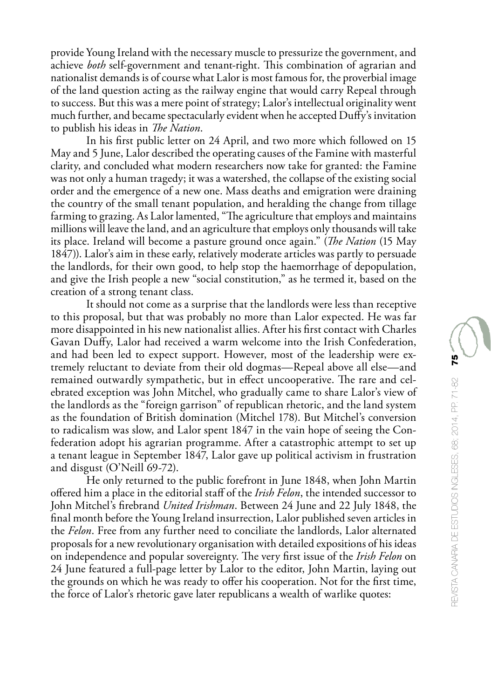provide Young Ireland with the necessary muscle to pressurize the government, and achieve *both* self-government and tenant-right. This combination of agrarian and nationalist demands is of course what Lalor is most famous for, the proverbial image of the land question acting as the railway engine that would carry Repeal through to success. But this was a mere point of strategy; Lalor's intellectual originality went much further, and became spectacularly evident when he accepted Duffy's invitation to publish his ideas in *The Nation*.

In his first public letter on 24 April, and two more which followed on 15 May and 5 June, Lalor described the operating causes of the Famine with masterful clarity, and concluded what modern researchers now take for granted: the Famine was not only a human tragedy; it was a watershed, the collapse of the existing social order and the emergence of a new one. Mass deaths and emigration were draining the country of the small tenant population, and heralding the change from tillage farming to grazing. As Lalor lamented, "The agriculture that employs and maintains millions will leave the land, and an agriculture that employs only thousands will take its place. Ireland will become a pasture ground once again." (*The Nation* (15 May 1847)). Lalor's aim in these early, relatively moderate articles was partly to persuade the landlords, for their own good, to help stop the haemorrhage of depopulation, and give the Irish people a new "social constitution," as he termed it, based on the creation of a strong tenant class.

It should not come as a surprise that the landlords were less than receptive to this proposal, but that was probably no more than Lalor expected. He was far more disappointed in his new nationalist allies. After his first contact with Charles Gavan Duffy, Lalor had received a warm welcome into the Irish Confederation, and had been led to expect support. However, most of the leadership were extremely reluctant to deviate from their old dogmas—Repeal above all else—and remained outwardly sympathetic, but in effect uncooperative. The rare and celebrated exception was John Mitchel, who gradually came to share Lalor's view of the landlords as the "foreign garrison" of republican rhetoric, and the land system as the foundation of British domination (Mitchel 178). But Mitchel's conversion to radicalism was slow, and Lalor spent 1847 in the vain hope of seeing the Confederation adopt his agrarian programme. After a catastrophic attempt to set up a tenant league in September 1847, Lalor gave up political activism in frustration and disgust (O'Neill 69-72).

He only returned to the public forefront in June 1848, when John Martin offered him a place in the editorial staff of the *Irish Felon*, the intended successor to John Mitchel's firebrand *United Irishman*. Between 24 June and 22 July 1848, the final month before the Young Ireland insurrection, Lalor published seven articles in the *Felon*. Free from any further need to conciliate the landlords, Lalor alternated proposals for a new revolutionary organisation with detailed expositions of his ideas on independence and popular sovereignty. The very first issue of the *Irish Felon* on 24 June featured a full-page letter by Lalor to the editor, John Martin, laying out the grounds on which he was ready to offer his cooperation. Not for the first time, the force of Lalor's rhetoric gave later republicans a wealth of warlike quotes: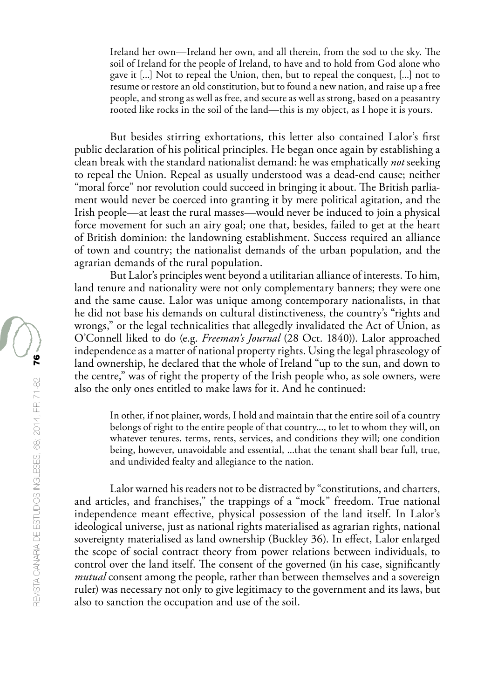Ireland her own—Ireland her own, and all therein, from the sod to the sky. The soil of Ireland for the people of Ireland, to have and to hold from God alone who gave it [...] Not to repeal the Union, then, but to repeal the conquest, [...] not to resume or restore an old constitution, but to found a new nation, and raise up a free people, and strong as well as free, and secure as well as strong, based on a peasantry rooted like rocks in the soil of the land—this is my object, as I hope it is yours.

But besides stirring exhortations, this letter also contained Lalor's first public declaration of his political principles. He began once again by establishing a clean break with the standard nationalist demand: he was emphatically *not* seeking to repeal the Union. Repeal as usually understood was a dead-end cause; neither "moral force" nor revolution could succeed in bringing it about. The British parliament would never be coerced into granting it by mere political agitation, and the Irish people—at least the rural masses—would never be induced to join a physical force movement for such an airy goal; one that, besides, failed to get at the heart of British dominion: the landowning establishment. Success required an alliance of town and country; the nationalist demands of the urban population, and the agrarian demands of the rural population.

But Lalor's principles went beyond a utilitarian alliance of interests. To him, land tenure and nationality were not only complementary banners; they were one and the same cause. Lalor was unique among contemporary nationalists, in that he did not base his demands on cultural distinctiveness, the country's "rights and wrongs," or the legal technicalities that allegedly invalidated the Act of Union, as O'Connell liked to do (e.g. *Freeman's Journal* (28 Oct. 1840)). Lalor approached independence as a matter of national property rights. Using the legal phraseology of land ownership, he declared that the whole of Ireland "up to the sun, and down to the centre," was of right the property of the Irish people who, as sole owners, were also the only ones entitled to make laws for it. And he continued:

In other, if not plainer, words, I hold and maintain that the entire soil of a country belongs of right to the entire people of that country..., to let to whom they will, on whatever tenures, terms, rents, services, and conditions they will; one condition being, however, unavoidable and essential, ...that the tenant shall bear full, true, and undivided fealty and allegiance to the nation.

Lalor warned his readers not to be distracted by "constitutions, and charters, and articles, and franchises," the trappings of a "mock" freedom. True national independence meant effective, physical possession of the land itself. In Lalor's ideological universe, just as national rights materialised as agrarian rights, national sovereignty materialised as land ownership (Buckley 36). In effect, Lalor enlarged the scope of social contract theory from power relations between individuals, to control over the land itself. The consent of the governed (in his case, significantly *mutual* consent among the people, rather than between themselves and a sovereign ruler) was necessary not only to give legitimacy to the government and its laws, but also to sanction the occupation and use of the soil.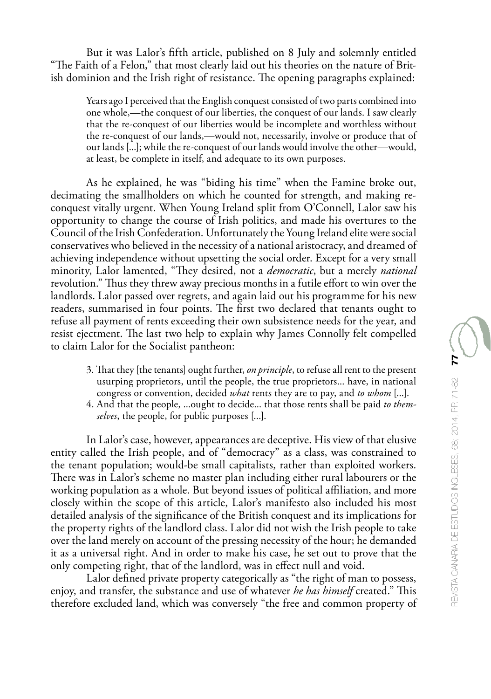But it was Lalor's fifth article, published on 8 July and solemnly entitled "The Faith of a Felon," that most clearly laid out his theories on the nature of British dominion and the Irish right of resistance. The opening paragraphs explained:

Years ago I perceived that the English conquest consisted of two parts combined into one whole,—the conquest of our liberties, the conquest of our lands. I saw clearly that the re-conquest of our liberties would be incomplete and worthless without the re-conquest of our lands,—would not, necessarily, involve or produce that of our lands [...]; while the re-conquest of our lands would involve the other—would, at least, be complete in itself, and adequate to its own purposes.

As he explained, he was "biding his time" when the Famine broke out, decimating the smallholders on which he counted for strength, and making reconquest vitally urgent. When Young Ireland split from O'Connell, Lalor saw his opportunity to change the course of Irish politics, and made his overtures to the Council of the Irish Confederation. Unfortunately the Young Ireland elite were social conservatives who believed in the necessity of a national aristocracy, and dreamed of achieving independence without upsetting the social order. Except for a very small minority, Lalor lamented, "They desired, not a *democratic*, but a merely *national* revolution." Thus they threw away precious months in a futile effort to win over the landlords. Lalor passed over regrets, and again laid out his programme for his new readers, summarised in four points. The first two declared that tenants ought to refuse all payment of rents exceeding their own subsistence needs for the year, and resist ejectment. The last two help to explain why James Connolly felt compelled to claim Lalor for the Socialist pantheon:

- 3. That they [the tenants] ought further, *on principle*, to refuse all rent to the present usurping proprietors, until the people, the true proprietors... have, in national congress or convention, decided *what* rents they are to pay, and *to whom* [...].
- 4. And that the people, ...ought to decide... that those rents shall be paid *to themselves*, the people, for public purposes [...].

In Lalor's case, however, appearances are deceptive. His view of that elusive entity called the Irish people, and of "democracy" as a class, was constrained to the tenant population; would-be small capitalists, rather than exploited workers. There was in Lalor's scheme no master plan including either rural labourers or the working population as a whole. But beyond issues of political affiliation, and more closely within the scope of this article, Lalor's manifesto also included his most detailed analysis of the significance of the British conquest and its implications for the property rights of the landlord class. Lalor did not wish the Irish people to take over the land merely on account of the pressing necessity of the hour; he demanded it as a universal right. And in order to make his case, he set out to prove that the only competing right, that of the landlord, was in effect null and void.

Lalor defined private property categorically as "the right of man to possess, enjoy, and transfer, the substance and use of whatever *he has himself* created." This therefore excluded land, which was conversely "the free and common property of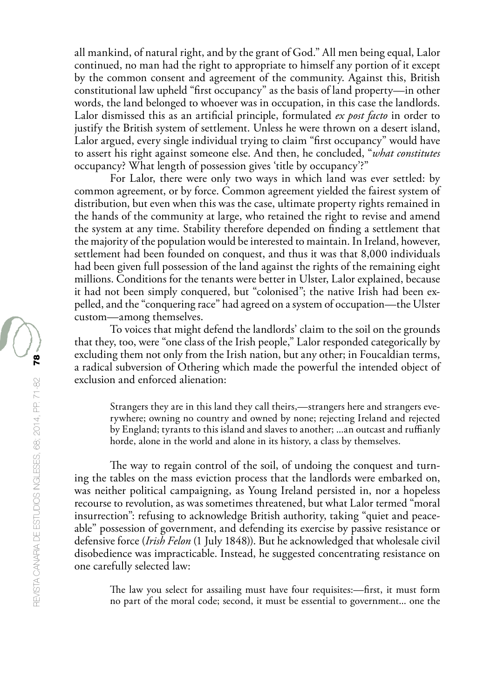all mankind, of natural right, and by the grant of God." All men being equal, Lalor continued, no man had the right to appropriate to himself any portion of it except by the common consent and agreement of the community. Against this, British constitutional law upheld "first occupancy" as the basis of land property—in other words, the land belonged to whoever was in occupation, in this case the landlords. Lalor dismissed this as an artificial principle, formulated *ex post facto* in order to justify the British system of settlement. Unless he were thrown on a desert island, Lalor argued, every single individual trying to claim "first occupancy" would have to assert his right against someone else. And then, he concluded, "*what constitutes* occupancy? What length of possession gives 'title by occupancy'?"

For Lalor, there were only two ways in which land was ever settled: by common agreement, or by force. Common agreement yielded the fairest system of distribution, but even when this was the case, ultimate property rights remained in the hands of the community at large, who retained the right to revise and amend the system at any time. Stability therefore depended on finding a settlement that the majority of the population would be interested to maintain. In Ireland, however, settlement had been founded on conquest, and thus it was that 8,000 individuals had been given full possession of the land against the rights of the remaining eight millions. Conditions for the tenants were better in Ulster, Lalor explained, because it had not been simply conquered, but "colonised"; the native Irish had been expelled, and the "conquering race" had agreed on a system of occupation—the Ulster custom—among themselves.

To voices that might defend the landlords' claim to the soil on the grounds that they, too, were "one class of the Irish people," Lalor responded categorically by excluding them not only from the Irish nation, but any other; in Foucaldian terms, a radical subversion of Othering which made the powerful the intended object of exclusion and enforced alienation:

Strangers they are in this land they call theirs,—strangers here and strangers everywhere; owning no country and owned by none; rejecting Ireland and rejected by England; tyrants to this island and slaves to another; ...an outcast and ruffianly horde, alone in the world and alone in its history, a class by themselves.

The way to regain control of the soil, of undoing the conquest and turning the tables on the mass eviction process that the landlords were embarked on, was neither political campaigning, as Young Ireland persisted in, nor a hopeless recourse to revolution, as was sometimes threatened, but what Lalor termed "moral insurrection": refusing to acknowledge British authority, taking "quiet and peaceable" possession of government, and defending its exercise by passive resistance or defensive force (*Irish Felon* (1 July 1848)). But he acknowledged that wholesale civil disobedience was impracticable. Instead, he suggested concentrating resistance on one carefully selected law:

The law you select for assailing must have four requisites:—first, it must form no part of the moral code; second, it must be essential to government... one the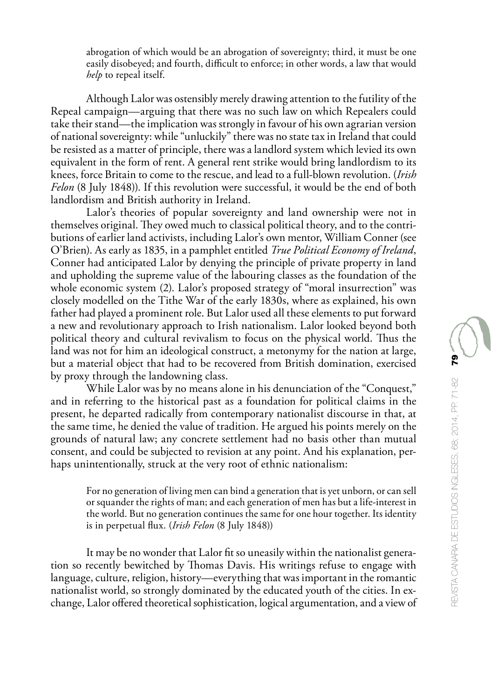abrogation of which would be an abrogation of sovereignty; third, it must be one easily disobeyed; and fourth, difficult to enforce; in other words, a law that would *help* to repeal itself.

Although Lalor was ostensibly merely drawing attention to the futility of the Repeal campaign—arguing that there was no such law on which Repealers could take their stand—the implication was strongly in favour of his own agrarian version of national sovereignty: while "unluckily" there was no state tax in Ireland that could be resisted as a matter of principle, there was a landlord system which levied its own equivalent in the form of rent. A general rent strike would bring landlordism to its knees, force Britain to come to the rescue, and lead to a full-blown revolution. (*Irish Felon* (8 July 1848)). If this revolution were successful, it would be the end of both landlordism and British authority in Ireland.

Lalor's theories of popular sovereignty and land ownership were not in themselves original. They owed much to classical political theory, and to the contributions of earlier land activists, including Lalor's own mentor, William Conner (see O'Brien). As early as 1835, in a pamphlet entitled *True Political Economy of Ireland*, Conner had anticipated Lalor by denying the principle of private property in land and upholding the supreme value of the labouring classes as the foundation of the whole economic system (2). Lalor's proposed strategy of "moral insurrection" was closely modelled on the Tithe War of the early 1830s, where as explained, his own father had played a prominent role. But Lalor used all these elements to put forward a new and revolutionary approach to Irish nationalism. Lalor looked beyond both political theory and cultural revivalism to focus on the physical world. Thus the land was not for him an ideological construct, a metonymy for the nation at large, but a material object that had to be recovered from British domination, exercised by proxy through the landowning class.

While Lalor was by no means alone in his denunciation of the "Conquest," and in referring to the historical past as a foundation for political claims in the present, he departed radically from contemporary nationalist discourse in that, at the same time, he denied the value of tradition. He argued his points merely on the grounds of natural law; any concrete settlement had no basis other than mutual consent, and could be subjected to revision at any point. And his explanation, perhaps unintentionally, struck at the very root of ethnic nationalism:

For no generation of living men can bind a generation that is yet unborn, or can sell or squander the rights of man; and each generation of men has but a life-interest in the world. But no generation continues the same for one hour together. Its identity is in perpetual flux. (*Irish Felon* (8 July 1848))

It may be no wonder that Lalor fit so uneasily within the nationalist generation so recently bewitched by Thomas Davis. His writings refuse to engage with language, culture, religion, history—everything that was important in the romantic nationalist world, so strongly dominated by the educated youth of the cities. In exchange, Lalor offered theoretical sophistication, logical argumentation, and a view of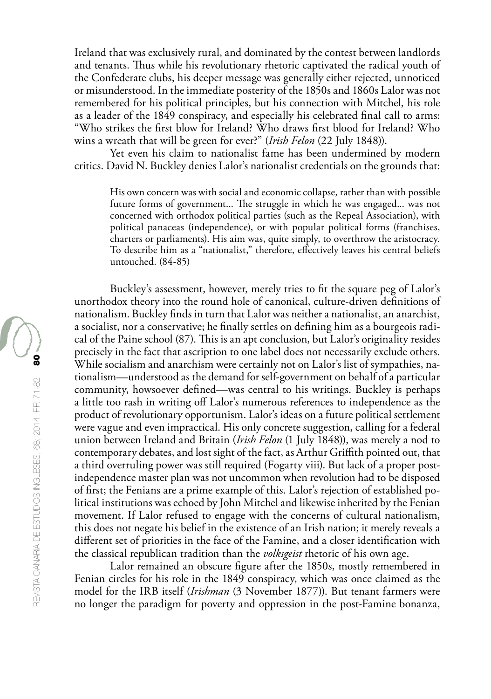Ireland that was exclusively rural, and dominated by the contest between landlords and tenants. Thus while his revolutionary rhetoric captivated the radical youth of the Confederate clubs, his deeper message was generally either rejected, unnoticed or misunderstood. In the immediate posterity of the 1850s and 1860s Lalor was not remembered for his political principles, but his connection with Mitchel, his role as a leader of the 1849 conspiracy, and especially his celebrated final call to arms: "Who strikes the first blow for Ireland? Who draws first blood for Ireland? Who wins a wreath that will be green for ever?" (*Irish Felon* (22 July 1848)).

Yet even his claim to nationalist fame has been undermined by modern critics. David N. Buckley denies Lalor's nationalist credentials on the grounds that:

His own concern was with social and economic collapse, rather than with possible future forms of government... The struggle in which he was engaged... was not concerned with orthodox political parties (such as the Repeal Association), with political panaceas (independence), or with popular political forms (franchises, charters or parliaments). His aim was, quite simply, to overthrow the aristocracy. To describe him as a "nationalist," therefore, effectively leaves his central beliefs untouched. (84-85)

Buckley's assessment, however, merely tries to fit the square peg of Lalor's unorthodox theory into the round hole of canonical, culture-driven definitions of nationalism. Buckley finds in turn that Lalor was neither a nationalist, an anarchist, a socialist, nor a conservative; he finally settles on defining him as a bourgeois radical of the Paine school (87). This is an apt conclusion, but Lalor's originality resides precisely in the fact that ascription to one label does not necessarily exclude others. While socialism and anarchism were certainly not on Lalor's list of sympathies, nationalism—understood as the demand for self-government on behalf of a particular community, howsoever defined—was central to his writings. Buckley is perhaps a little too rash in writing off Lalor's numerous references to independence as the product of revolutionary opportunism. Lalor's ideas on a future political settlement were vague and even impractical. His only concrete suggestion, calling for a federal union between Ireland and Britain (*Irish Felon* (1 July 1848)), was merely a nod to contemporary debates, and lost sight of the fact, as Arthur Griffith pointed out, that a third overruling power was still required (Fogarty viii). But lack of a proper postindependence master plan was not uncommon when revolution had to be disposed of first; the Fenians are a prime example of this. Lalor's rejection of established political institutions was echoed by John Mitchel and likewise inherited by the Fenian movement. If Lalor refused to engage with the concerns of cultural nationalism, this does not negate his belief in the existence of an Irish nation; it merely reveals a different set of priorities in the face of the Famine, and a closer identification with the classical republican tradition than the *volksgeist* rhetoric of his own age.

Lalor remained an obscure figure after the 1850s, mostly remembered in Fenian circles for his role in the 1849 conspiracy, which was once claimed as the model for the IRB itself (*Irishman* (3 November 1877)). But tenant farmers were no longer the paradigm for poverty and oppression in the post-Famine bonanza,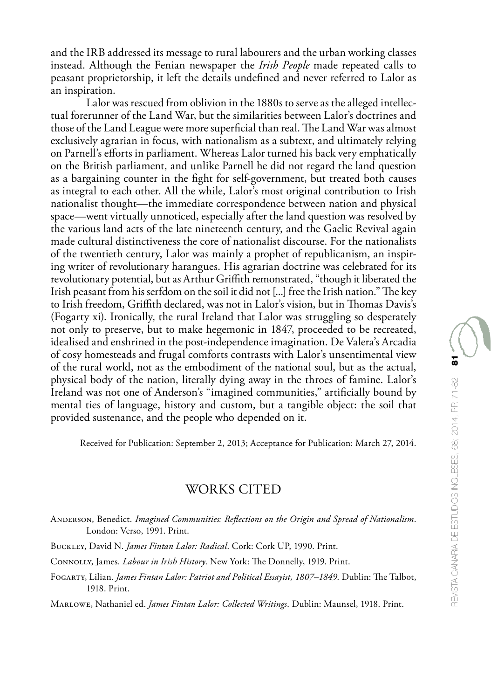Lalor was rescued from oblivion in the 1880s to serve as the alleged intellectual forerunner of the Land War, but the similarities between Lalor's doctrines and those of the Land League were more superficial than real. The Land War was almost exclusively agrarian in focus, with nationalism as a subtext, and ultimately relying on Parnell's efforts in parliament. Whereas Lalor turned his back very emphatically on the British parliament, and unlike Parnell he did not regard the land question as a bargaining counter in the fight for self-government, but treated both causes as integral to each other. All the while, Lalor's most original contribution to Irish nationalist thought—the immediate correspondence between nation and physical space—went virtually unnoticed, especially after the land question was resolved by the various land acts of the late nineteenth century, and the Gaelic Revival again made cultural distinctiveness the core of nationalist discourse. For the nationalists of the twentieth century, Lalor was mainly a prophet of republicanism, an inspiring writer of revolutionary harangues. His agrarian doctrine was celebrated for its revolutionary potential, but as Arthur Griffith remonstrated, "though it liberated the Irish peasant from his serfdom on the soil it did not [...] free the Irish nation." The key to Irish freedom, Griffith declared, was not in Lalor's vision, but in Thomas Davis's (Fogarty xi). Ironically, the rural Ireland that Lalor was struggling so desperately not only to preserve, but to make hegemonic in 1847, proceeded to be recreated, idealised and enshrined in the post-independence imagination. De Valera's Arcadia of cosy homesteads and frugal comforts contrasts with Lalor's unsentimental view of the rural world, not as the embodiment of the national soul, but as the actual, physical body of the nation, literally dying away in the throes of famine. Lalor's Ireland was not one of Anderson's "imagined communities," artificially bound by mental ties of language, history and custom, but a tangible object: the soil that provided sustenance, and the people who depended on it.

Received for Publication: September 2, 2013; Acceptance for Publication: March 27, 2014.

## WORKS CITED

- Anderson, Benedict. *Imagined Communities: Reflections on the Origin and Spread of Nationalism*. London: Verso, 1991. Print.
- Buckley, David N. *James Fintan Lalor: Radical*. Cork: Cork UP, 1990. Print.
- Connolly, James. *Labour in Irish History*. New York: The Donnelly, 1919. Print.
- Fogarty, Lilian. *James Fintan Lalor: Patriot and Political Essayist, 1807–1849*. Dublin: The Talbot, 1918. Print.

Marlowe, Nathaniel ed. *James Fintan Lalor: Collected Writings*. Dublin: Maunsel, 1918. Print.